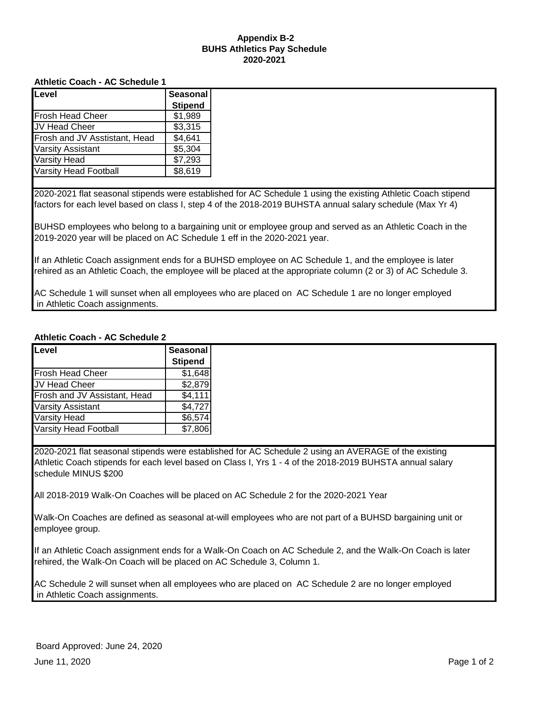# **Appendix B-2 BUHS Athletics Pay Schedule 2020-2021**

### **Athletic Coach - AC Schedule 1**

| <b>ILevel</b>                 | <b>Seasonal</b> |
|-------------------------------|-----------------|
|                               | <b>Stipend</b>  |
| Frosh Head Cheer              | \$1,989         |
| JV Head Cheer                 | \$3,315         |
| Frosh and JV Asstistant, Head | \$4,641         |
| <b>Varsity Assistant</b>      | \$5,304         |
| <b>Varsity Head</b>           | \$7,293         |
| Varsity Head Football         | \$8,619         |

2020-2021 flat seasonal stipends were established for AC Schedule 1 using the existing Athletic Coach stipend factors for each level based on class I, step 4 of the 2018-2019 BUHSTA annual salary schedule (Max Yr 4)

BUHSD employees who belong to a bargaining unit or employee group and served as an Athletic Coach in the 2019-2020 year will be placed on AC Schedule 1 eff in the 2020-2021 year.

If an Athletic Coach assignment ends for a BUHSD employee on AC Schedule 1, and the employee is later rehired as an Athletic Coach, the employee will be placed at the appropriate column (2 or 3) of AC Schedule 3.

AC Schedule 1 will sunset when all employees who are placed on AC Schedule 1 are no longer employed in Athletic Coach assignments.

### **Athletic Coach - AC Schedule 2**

| Level                        | <b>Seasonal</b> |
|------------------------------|-----------------|
|                              | <b>Stipend</b>  |
| <b>Frosh Head Cheer</b>      | \$1,648         |
| <b>JV Head Cheer</b>         | \$2,879         |
| Frosh and JV Assistant, Head | \$4,111         |
| <b>Varsity Assistant</b>     | \$4,727         |
| <b>Varsity Head</b>          | \$6,574         |
| <b>Varsity Head Football</b> | \$7,806         |

2020-2021 flat seasonal stipends were established for AC Schedule 2 using an AVERAGE of the existing Athletic Coach stipends for each level based on Class I, Yrs 1 - 4 of the 2018-2019 BUHSTA annual salary schedule MINUS \$200

All 2018-2019 Walk-On Coaches will be placed on AC Schedule 2 for the 2020-2021 Year

Walk-On Coaches are defined as seasonal at-will employees who are not part of a BUHSD bargaining unit or employee group.

If an Athletic Coach assignment ends for a Walk-On Coach on AC Schedule 2, and the Walk-On Coach is later rehired, the Walk-On Coach will be placed on AC Schedule 3, Column 1.

AC Schedule 2 will sunset when all employees who are placed on AC Schedule 2 are no longer employed in Athletic Coach assignments.